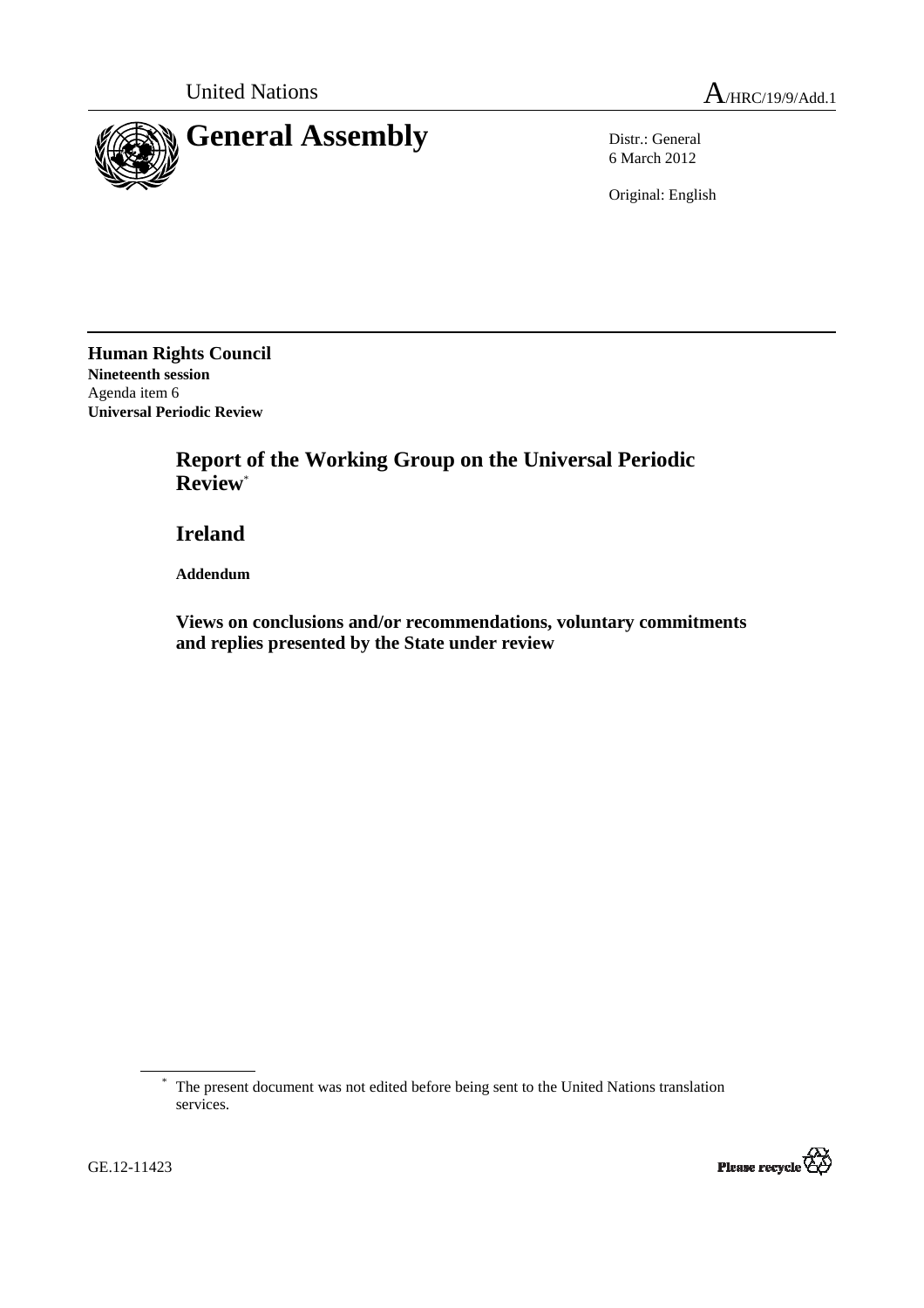

6 March 2012

Original: English

**Human Rights Council Nineteenth session**  Agenda item 6 **Universal Periodic Review** 

> **Report of the Working Group on the Universal Periodic Review**\*

 **Ireland** 

 **Addendum** 

 **Views on conclusions and/or recommendations, voluntary commitments and replies presented by the State under review** 

<sup>\*</sup> The present document was not edited before being sent to the United Nations translation services.

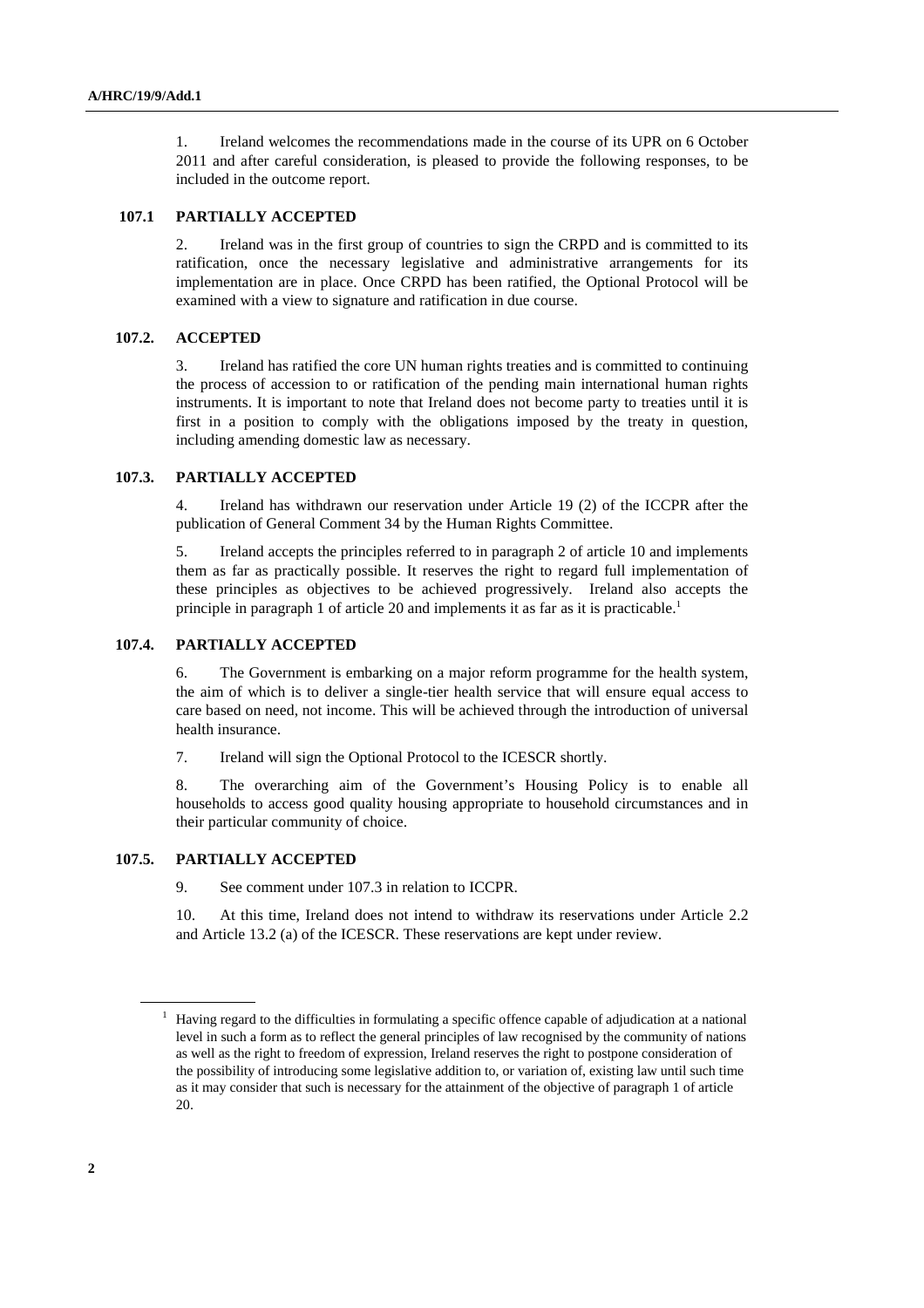1. Ireland welcomes the recommendations made in the course of its UPR on 6 October 2011 and after careful consideration, is pleased to provide the following responses, to be included in the outcome report.

## **107.1 PARTIALLY ACCEPTED**

2. Ireland was in the first group of countries to sign the CRPD and is committed to its ratification, once the necessary legislative and administrative arrangements for its implementation are in place. Once CRPD has been ratified, the Optional Protocol will be examined with a view to signature and ratification in due course.

#### **107.2. ACCEPTED**

3. Ireland has ratified the core UN human rights treaties and is committed to continuing the process of accession to or ratification of the pending main international human rights instruments. It is important to note that Ireland does not become party to treaties until it is first in a position to comply with the obligations imposed by the treaty in question, including amending domestic law as necessary.

### **107.3. PARTIALLY ACCEPTED**

4. Ireland has withdrawn our reservation under Article 19 (2) of the ICCPR after the publication of General Comment 34 by the Human Rights Committee.

5. Ireland accepts the principles referred to in paragraph 2 of article 10 and implements them as far as practically possible. It reserves the right to regard full implementation of these principles as objectives to be achieved progressively. Ireland also accepts the principle in paragraph 1 of article 20 and implements it as far as it is practicable.<sup>1</sup>

#### **107.4. PARTIALLY ACCEPTED**

6. The Government is embarking on a major reform programme for the health system, the aim of which is to deliver a single-tier health service that will ensure equal access to care based on need, not income. This will be achieved through the introduction of universal health insurance.

7. Ireland will sign the Optional Protocol to the ICESCR shortly.

8. The overarching aim of the Government's Housing Policy is to enable all households to access good quality housing appropriate to household circumstances and in their particular community of choice.

## **107.5. PARTIALLY ACCEPTED**

9. See comment under 107.3 in relation to ICCPR.

10. At this time, Ireland does not intend to withdraw its reservations under Article 2.2 and Article 13.2 (a) of the ICESCR. These reservations are kept under review.

<sup>&</sup>lt;sup>1</sup> Having regard to the difficulties in formulating a specific offence capable of adjudication at a national level in such a form as to reflect the general principles of law recognised by the community of nations as well as the right to freedom of expression, Ireland reserves the right to postpone consideration of the possibility of introducing some legislative addition to, or variation of, existing law until such time as it may consider that such is necessary for the attainment of the objective of paragraph 1 of article 20.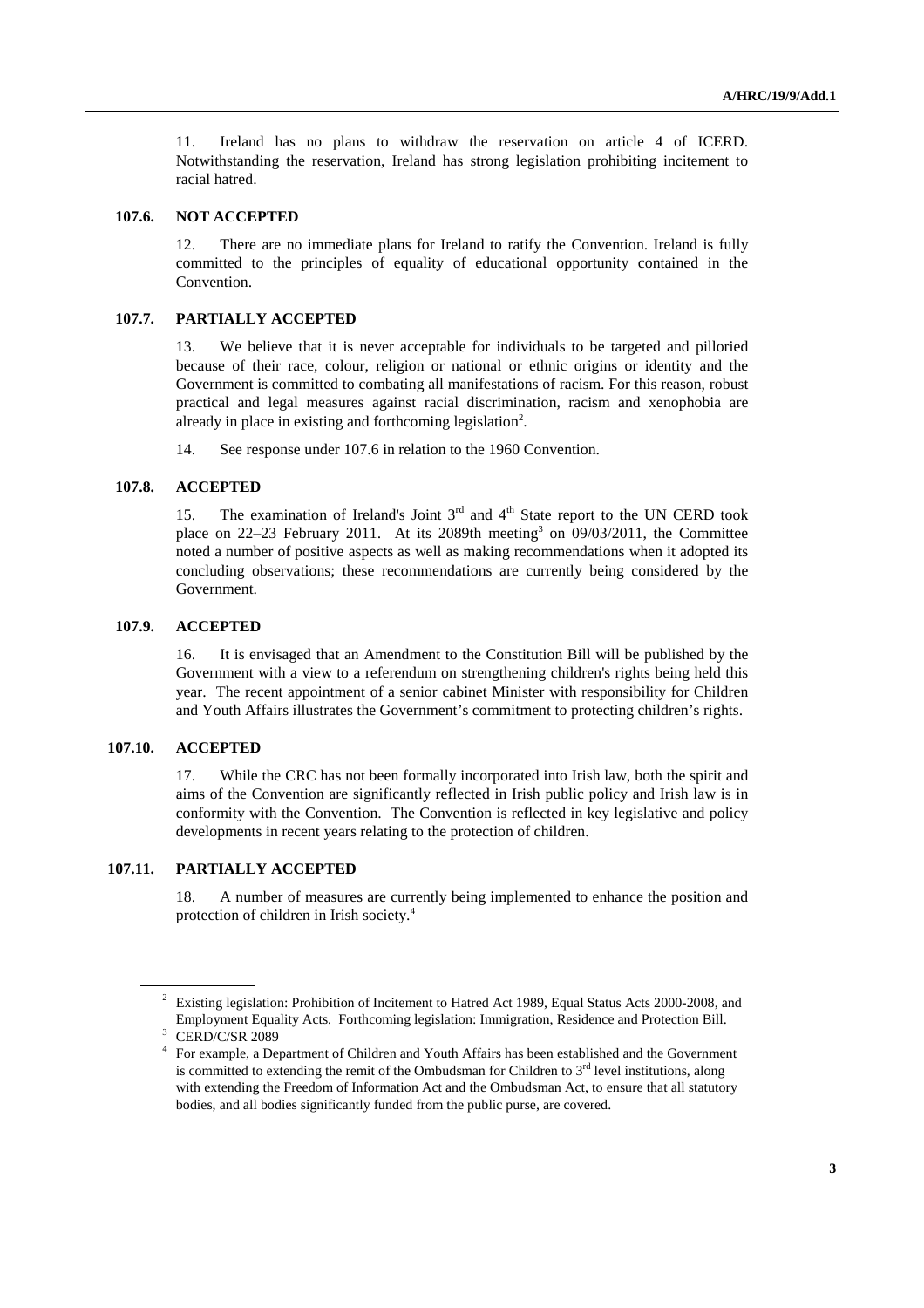11. Ireland has no plans to withdraw the reservation on article 4 of ICERD. Notwithstanding the reservation, Ireland has strong legislation prohibiting incitement to racial hatred.

#### **107.6. NOT ACCEPTED**

12. There are no immediate plans for Ireland to ratify the Convention. Ireland is fully committed to the principles of equality of educational opportunity contained in the Convention.

### **107.7. PARTIALLY ACCEPTED**

13. We believe that it is never acceptable for individuals to be targeted and pilloried because of their race, colour, religion or national or ethnic origins or identity and the Government is committed to combating all manifestations of racism. For this reason, robust practical and legal measures against racial discrimination, racism and xenophobia are already in place in existing and forthcoming legislation<sup>2</sup>.

14. See response under 107.6 in relation to the 1960 Convention.

### **107.8. ACCEPTED**

15. The examination of Ireland's Joint  $3<sup>rd</sup>$  and  $4<sup>th</sup>$  State report to the UN CERD took place on 22–23 February 2011. At its 2089th meeting 3 on 09/03/2011, the Committee noted a number of positive aspects as well as making recommendations when it adopted its concluding observations; these recommendations are currently being considered by the Government.

#### **107.9. ACCEPTED**

16. It is envisaged that an Amendment to the Constitution Bill will be published by the Government with a view to a referendum on strengthening children's rights being held this year. The recent appointment of a senior cabinet Minister with responsibility for Children and Youth Affairs illustrates the Government's commitment to protecting children's rights.

## **107.10. ACCEPTED**

 $\overline{a}$ 

17. While the CRC has not been formally incorporated into Irish law, both the spirit and aims of the Convention are significantly reflected in Irish public policy and Irish law is in conformity with the Convention. The Convention is reflected in key legislative and policy developments in recent years relating to the protection of children.

## **107.11. PARTIALLY ACCEPTED**

18. A number of measures are currently being implemented to enhance the position and protection of children in Irish society.<sup>4</sup>

<sup>&</sup>lt;sup>2</sup> Existing legislation: Prohibition of Incitement to Hatred Act 1989, Equal Status Acts 2000-2008, and Employment Equality Acts. Forthcoming legislation: Immigration, Residence and Protection Bill. 3 CERD/C/SR 2089

<sup>&</sup>lt;sup>4</sup> For example, a Department of Children and Youth Affairs has been established and the Government is committed to extending the remit of the Ombudsman for Children to  $3<sup>rd</sup>$  level institutions, along with extending the Freedom of Information Act and the Ombudsman Act, to ensure that all statutory bodies, and all bodies significantly funded from the public purse, are covered.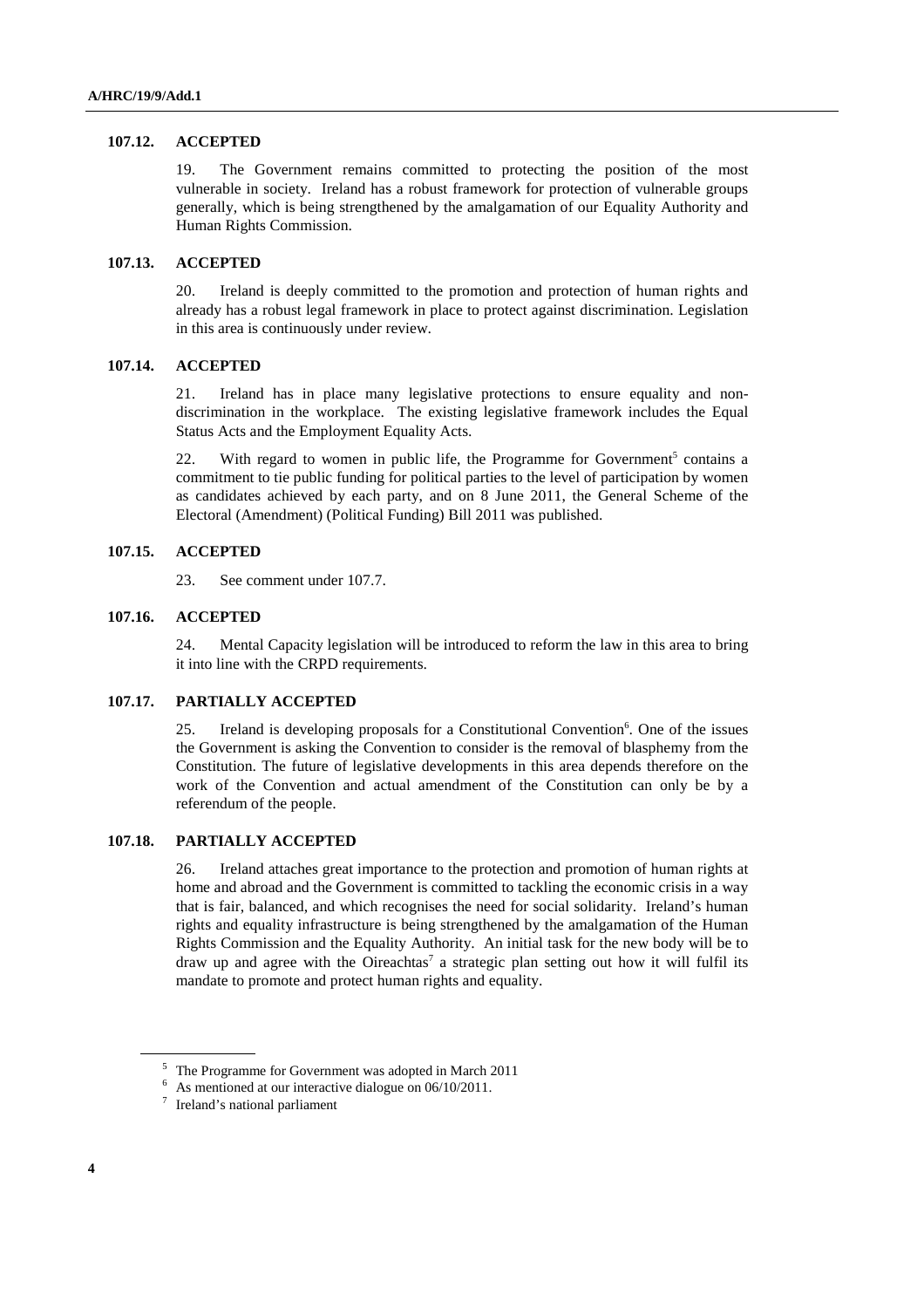### **107.12. ACCEPTED**

19. The Government remains committed to protecting the position of the most vulnerable in society. Ireland has a robust framework for protection of vulnerable groups generally, which is being strengthened by the amalgamation of our Equality Authority and Human Rights Commission.

# **107.13. ACCEPTED**

20. Ireland is deeply committed to the promotion and protection of human rights and already has a robust legal framework in place to protect against discrimination. Legislation in this area is continuously under review.

## **107.14. ACCEPTED**

21. Ireland has in place many legislative protections to ensure equality and nondiscrimination in the workplace. The existing legislative framework includes the Equal Status Acts and the Employment Equality Acts.

22. With regard to women in public life, the Programme for Government<sup>5</sup> contains a commitment to tie public funding for political parties to the level of participation by women as candidates achieved by each party, and on 8 June 2011, the General Scheme of the Electoral (Amendment) (Political Funding) Bill 2011 was published.

# **107.15. ACCEPTED**

23. See comment under 107.7.

#### **107.16. ACCEPTED**

24. Mental Capacity legislation will be introduced to reform the law in this area to bring it into line with the CRPD requirements.

#### **107.17. PARTIALLY ACCEPTED**

25. Ireland is developing proposals for a Constitutional Convention<sup>6</sup>. One of the issues the Government is asking the Convention to consider is the removal of blasphemy from the Constitution. The future of legislative developments in this area depends therefore on the work of the Convention and actual amendment of the Constitution can only be by a referendum of the people.

## **107.18. PARTIALLY ACCEPTED**

26. Ireland attaches great importance to the protection and promotion of human rights at home and abroad and the Government is committed to tackling the economic crisis in a way that is fair, balanced, and which recognises the need for social solidarity. Ireland's human rights and equality infrastructure is being strengthened by the amalgamation of the Human Rights Commission and the Equality Authority. An initial task for the new body will be to draw up and agree with the Oireachtas<sup>7</sup> a strategic plan setting out how it will fulfil its mandate to promote and protect human rights and equality.

<sup>&</sup>lt;sup>5</sup> The Programme for Government was adopted in March 2011

<sup>&</sup>lt;sup>6</sup> As mentioned at our interactive dialogue on 06/10/2011.

<sup>&</sup>lt;sup>7</sup> Ireland's national parliament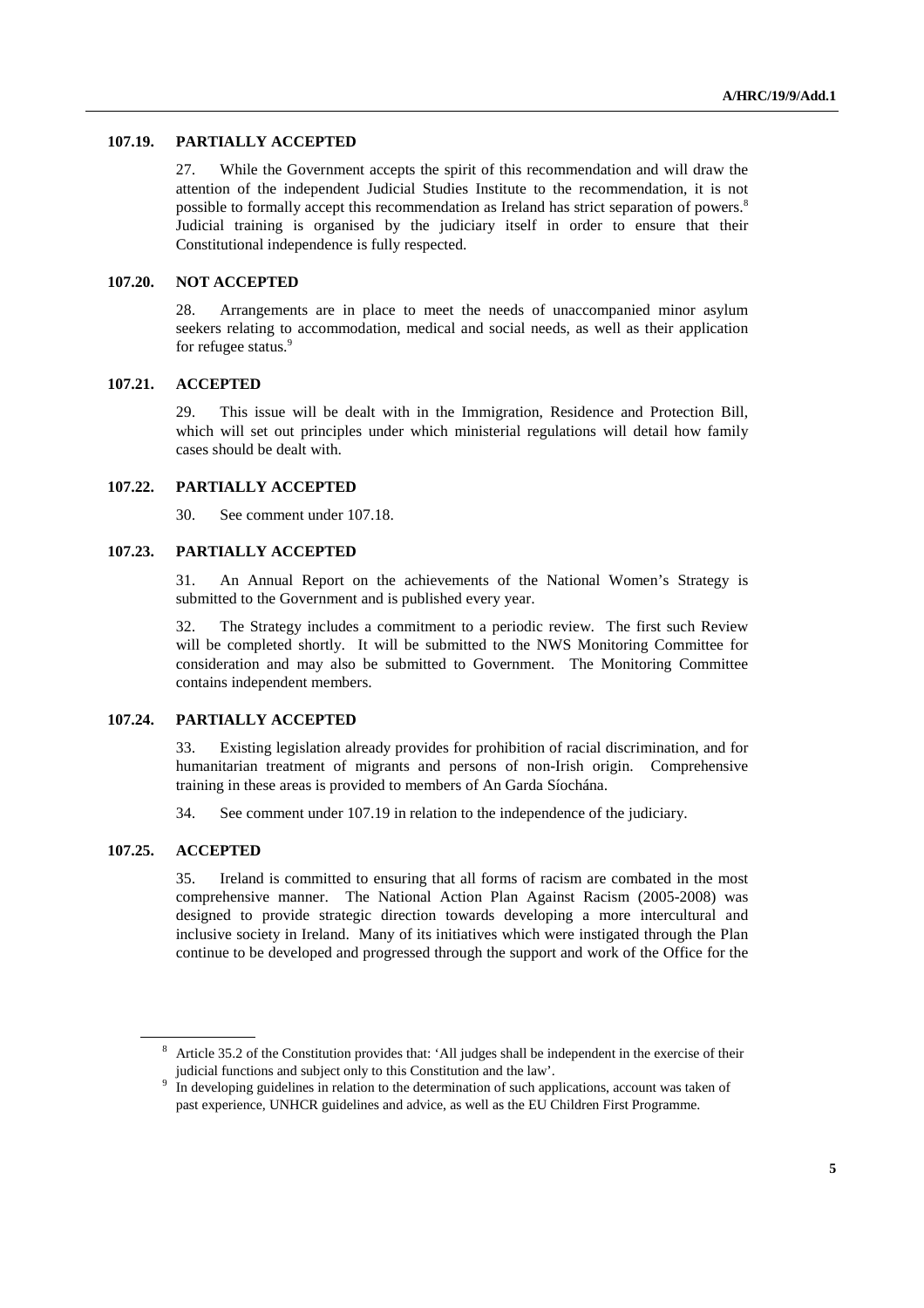#### **107.19. PARTIALLY ACCEPTED**

27. While the Government accepts the spirit of this recommendation and will draw the attention of the independent Judicial Studies Institute to the recommendation, it is not possible to formally accept this recommendation as Ireland has strict separation of powers.<sup>8</sup> Judicial training is organised by the judiciary itself in order to ensure that their Constitutional independence is fully respected.

#### **107.20. NOT ACCEPTED**

28. Arrangements are in place to meet the needs of unaccompanied minor asylum seekers relating to accommodation, medical and social needs, as well as their application for refugee status.<sup>9</sup>

#### **107.21. ACCEPTED**

29. This issue will be dealt with in the Immigration, Residence and Protection Bill, which will set out principles under which ministerial regulations will detail how family cases should be dealt with.

# **107.22. PARTIALLY ACCEPTED**

30. See comment under 107.18.

## **107.23. PARTIALLY ACCEPTED**

31. An Annual Report on the achievements of the National Women's Strategy is submitted to the Government and is published every year.

32. The Strategy includes a commitment to a periodic review. The first such Review will be completed shortly. It will be submitted to the NWS Monitoring Committee for consideration and may also be submitted to Government. The Monitoring Committee contains independent members.

#### **107.24. PARTIALLY ACCEPTED**

33. Existing legislation already provides for prohibition of racial discrimination, and for humanitarian treatment of migrants and persons of non-Irish origin. Comprehensive training in these areas is provided to members of An Garda Síochána.

34. See comment under 107.19 in relation to the independence of the judiciary.

#### **107.25. ACCEPTED**

 $\overline{a}$ 

35. Ireland is committed to ensuring that all forms of racism are combated in the most comprehensive manner. The National Action Plan Against Racism (2005-2008) was designed to provide strategic direction towards developing a more intercultural and inclusive society in Ireland. Many of its initiatives which were instigated through the Plan continue to be developed and progressed through the support and work of the Office for the

<sup>&</sup>lt;sup>8</sup> Article 35.2 of the Constitution provides that: 'All judges shall be independent in the exercise of their judicial functions and subject only to this Constitution and the law'.

<sup>&</sup>lt;sup>9</sup> In developing guidelines in relation to the determination of such applications, account was taken of past experience, UNHCR guidelines and advice, as well as the EU Children First Programme.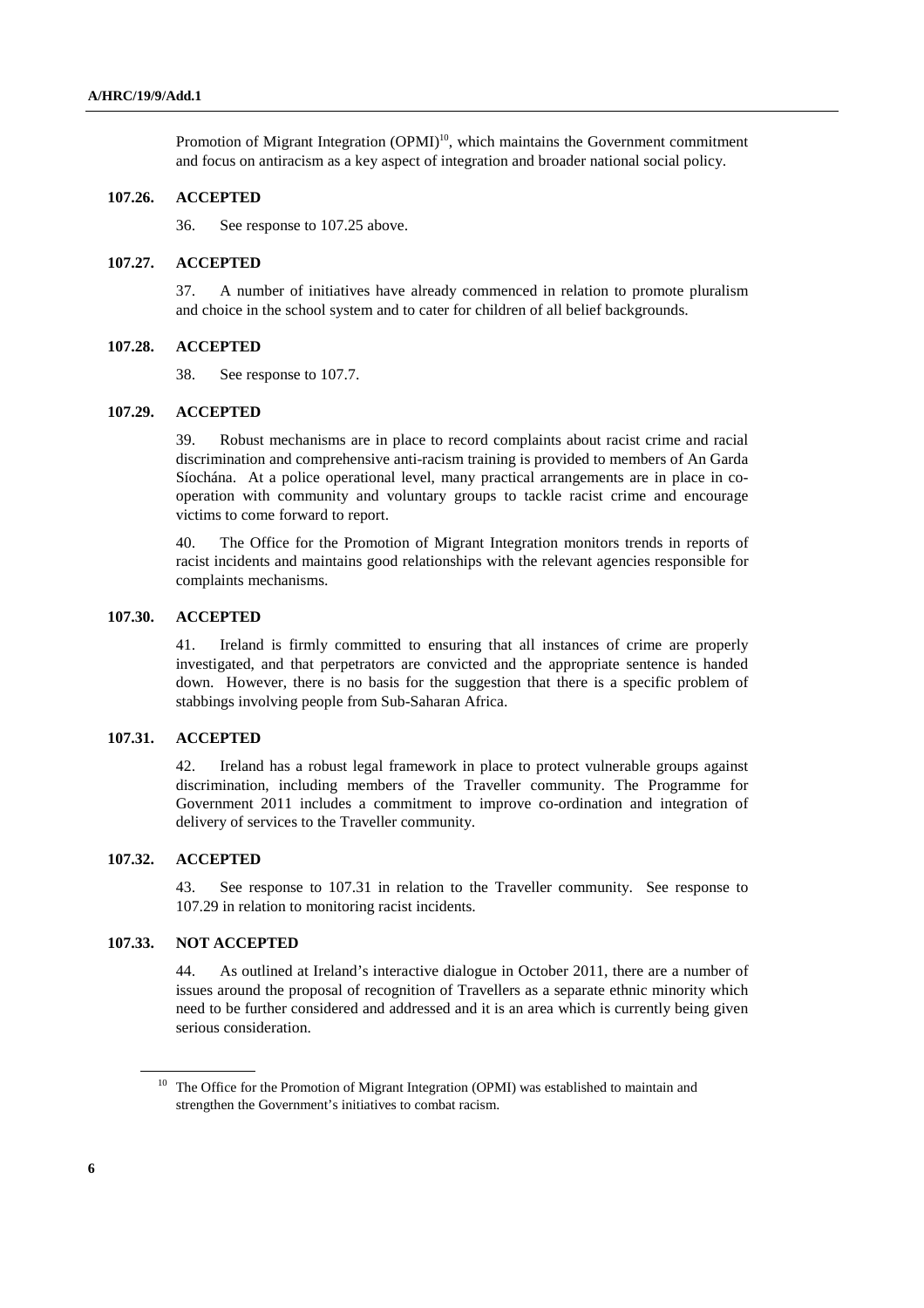Promotion of Migrant Integration  $(OPMI)^{10}$ , which maintains the Government commitment and focus on antiracism as a key aspect of integration and broader national social policy.

### **107.26. ACCEPTED**

36. See response to 107.25 above.

#### **107.27. ACCEPTED**

37. A number of initiatives have already commenced in relation to promote pluralism and choice in the school system and to cater for children of all belief backgrounds.

## **107.28. ACCEPTED**

38. See response to 107.7.

### **107.29. ACCEPTED**

39. Robust mechanisms are in place to record complaints about racist crime and racial discrimination and comprehensive anti-racism training is provided to members of An Garda Síochána. At a police operational level, many practical arrangements are in place in cooperation with community and voluntary groups to tackle racist crime and encourage victims to come forward to report.

40. The Office for the Promotion of Migrant Integration monitors trends in reports of racist incidents and maintains good relationships with the relevant agencies responsible for complaints mechanisms.

#### **107.30. ACCEPTED**

41. Ireland is firmly committed to ensuring that all instances of crime are properly investigated, and that perpetrators are convicted and the appropriate sentence is handed down. However, there is no basis for the suggestion that there is a specific problem of stabbings involving people from Sub-Saharan Africa.

#### **107.31. ACCEPTED**

42. Ireland has a robust legal framework in place to protect vulnerable groups against discrimination, including members of the Traveller community. The Programme for Government 2011 includes a commitment to improve co-ordination and integration of delivery of services to the Traveller community.

# **107.32. ACCEPTED**

43. See response to 107.31 in relation to the Traveller community. See response to 107.29 in relation to monitoring racist incidents.

### **107.33. NOT ACCEPTED**

44. As outlined at Ireland's interactive dialogue in October 2011, there are a number of issues around the proposal of recognition of Travellers as a separate ethnic minority which need to be further considered and addressed and it is an area which is currently being given serious consideration.

<sup>&</sup>lt;sup>10</sup> The Office for the Promotion of Migrant Integration (OPMI) was established to maintain and strengthen the Government's initiatives to combat racism.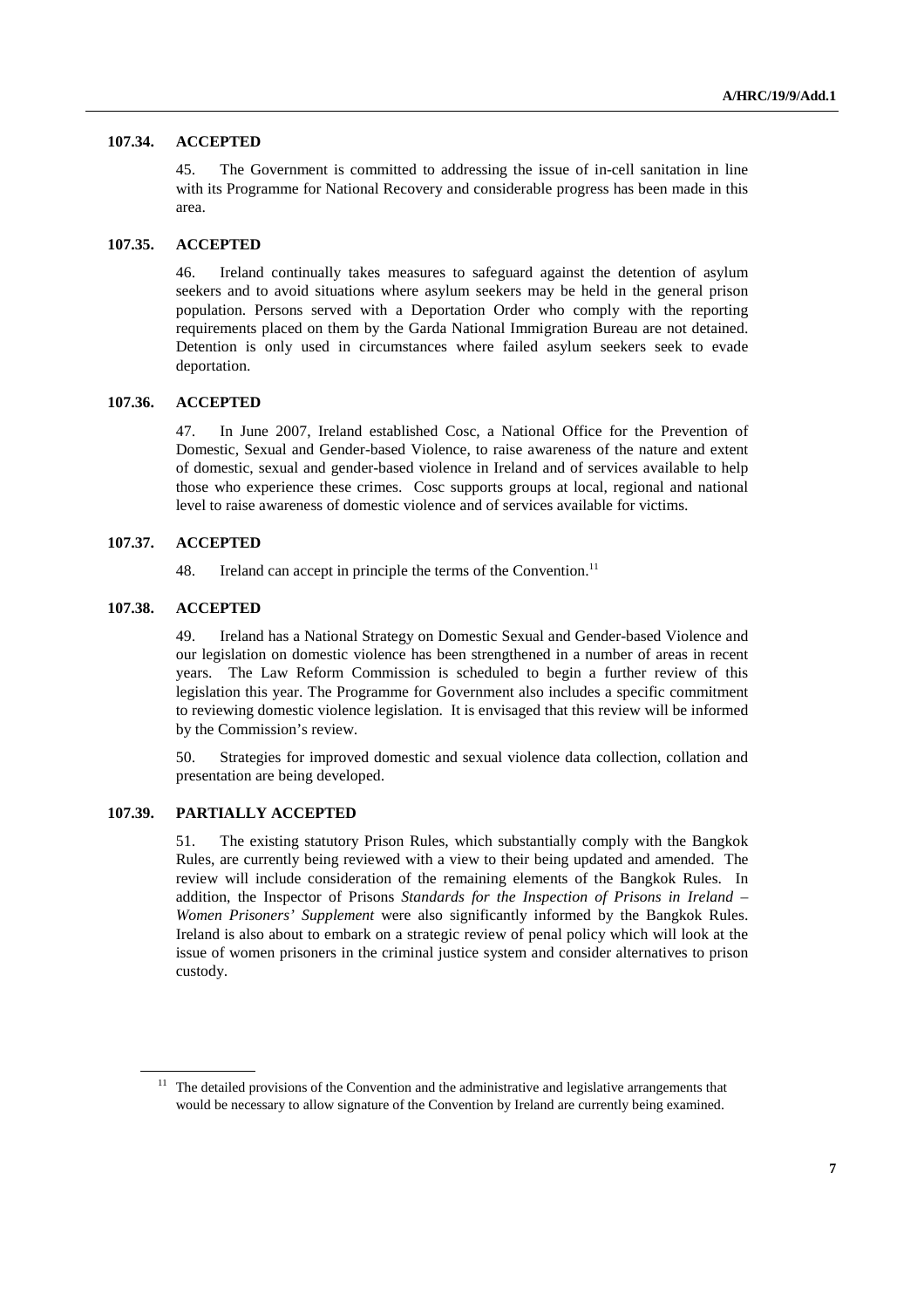#### **107.34. ACCEPTED**

45. The Government is committed to addressing the issue of in-cell sanitation in line with its Programme for National Recovery and considerable progress has been made in this area.

#### **107.35. ACCEPTED**

46. Ireland continually takes measures to safeguard against the detention of asylum seekers and to avoid situations where asylum seekers may be held in the general prison population. Persons served with a Deportation Order who comply with the reporting requirements placed on them by the Garda National Immigration Bureau are not detained. Detention is only used in circumstances where failed asylum seekers seek to evade deportation.

### **107.36. ACCEPTED**

47. In June 2007, Ireland established Cosc, a National Office for the Prevention of Domestic, Sexual and Gender-based Violence, to raise awareness of the nature and extent of domestic, sexual and gender-based violence in Ireland and of services available to help those who experience these crimes. Cosc supports groups at local, regional and national level to raise awareness of domestic violence and of services available for victims.

## **107.37. ACCEPTED**

48. Ireland can accept in principle the terms of the Convention.<sup>11</sup>

### **107.38. ACCEPTED**

 $\overline{a}$ 

49. Ireland has a National Strategy on Domestic Sexual and Gender-based Violence and our legislation on domestic violence has been strengthened in a number of areas in recent years. The Law Reform Commission is scheduled to begin a further review of this legislation this year. The Programme for Government also includes a specific commitment to reviewing domestic violence legislation. It is envisaged that this review will be informed by the Commission's review.

50. Strategies for improved domestic and sexual violence data collection, collation and presentation are being developed.

## **107.39. PARTIALLY ACCEPTED**

51. The existing statutory Prison Rules, which substantially comply with the Bangkok Rules, are currently being reviewed with a view to their being updated and amended. The review will include consideration of the remaining elements of the Bangkok Rules. In addition, the Inspector of Prisons *Standards for the Inspection of Prisons in Ireland – Women Prisoners' Supplement* were also significantly informed by the Bangkok Rules. Ireland is also about to embark on a strategic review of penal policy which will look at the issue of women prisoners in the criminal justice system and consider alternatives to prison custody.

<sup>&</sup>lt;sup>11</sup> The detailed provisions of the Convention and the administrative and legislative arrangements that would be necessary to allow signature of the Convention by Ireland are currently being examined.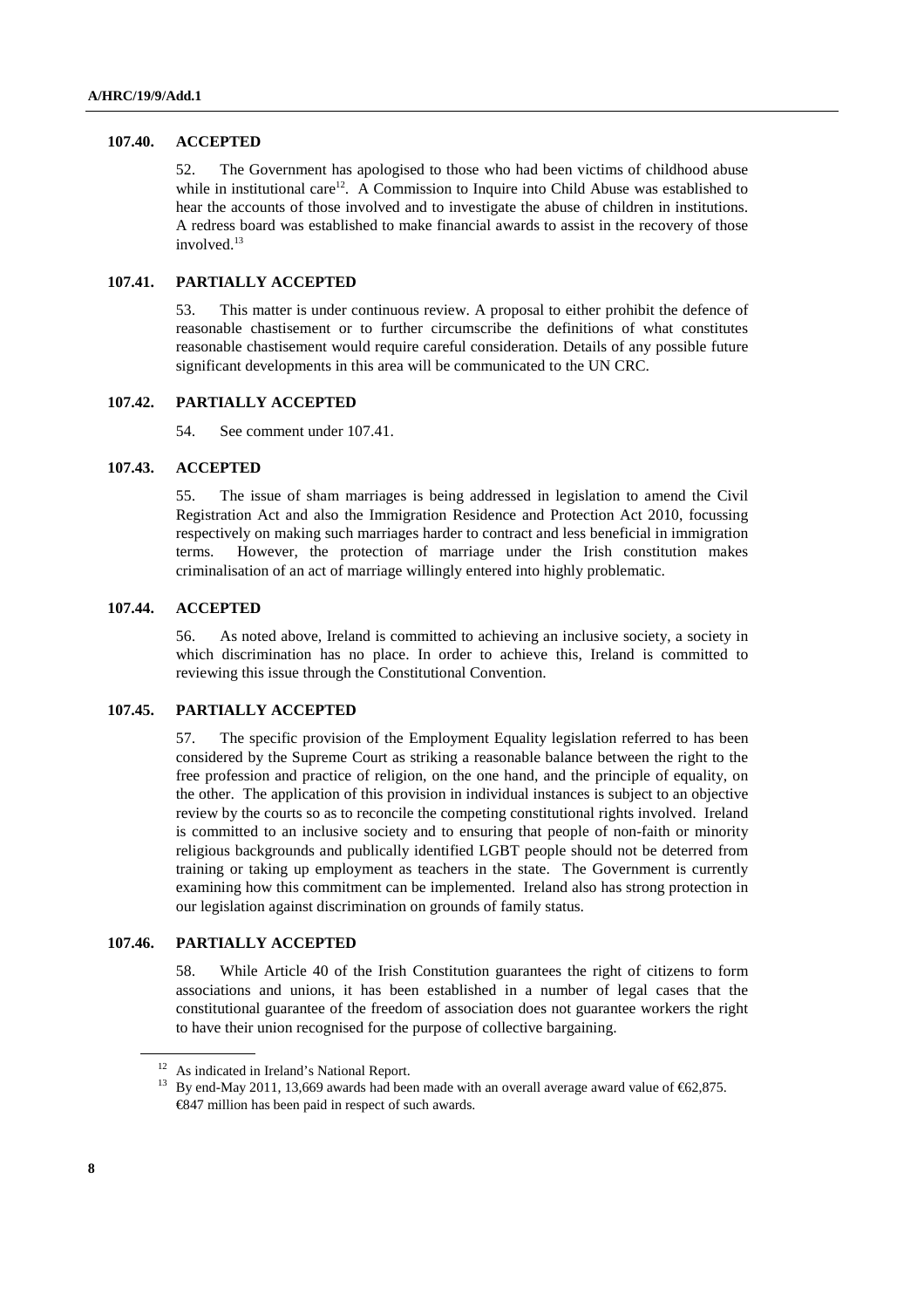### **107.40. ACCEPTED**

52. The Government has apologised to those who had been victims of childhood abuse while in institutional care<sup>12</sup>. A Commission to Inquire into Child Abuse was established to hear the accounts of those involved and to investigate the abuse of children in institutions. A redress board was established to make financial awards to assist in the recovery of those involved.<sup>13</sup>

# **107.41. PARTIALLY ACCEPTED**

53. This matter is under continuous review. A proposal to either prohibit the defence of reasonable chastisement or to further circumscribe the definitions of what constitutes reasonable chastisement would require careful consideration. Details of any possible future significant developments in this area will be communicated to the UN CRC.

## **107.42. PARTIALLY ACCEPTED**

54. See comment under 107.41.

### **107.43. ACCEPTED**

55. The issue of sham marriages is being addressed in legislation to amend the Civil Registration Act and also the Immigration Residence and Protection Act 2010, focussing respectively on making such marriages harder to contract and less beneficial in immigration terms. However, the protection of marriage under the Irish constitution makes criminalisation of an act of marriage willingly entered into highly problematic.

# **107.44. ACCEPTED**

56. As noted above, Ireland is committed to achieving an inclusive society, a society in which discrimination has no place. In order to achieve this, Ireland is committed to reviewing this issue through the Constitutional Convention.

### **107.45. PARTIALLY ACCEPTED**

57. The specific provision of the Employment Equality legislation referred to has been considered by the Supreme Court as striking a reasonable balance between the right to the free profession and practice of religion, on the one hand, and the principle of equality, on the other. The application of this provision in individual instances is subject to an objective review by the courts so as to reconcile the competing constitutional rights involved. Ireland is committed to an inclusive society and to ensuring that people of non-faith or minority religious backgrounds and publically identified LGBT people should not be deterred from training or taking up employment as teachers in the state. The Government is currently examining how this commitment can be implemented. Ireland also has strong protection in our legislation against discrimination on grounds of family status.

### **107.46. PARTIALLY ACCEPTED**

58. While Article 40 of the Irish Constitution guarantees the right of citizens to form associations and unions, it has been established in a number of legal cases that the constitutional guarantee of the freedom of association does not guarantee workers the right to have their union recognised for the purpose of collective bargaining.

<sup>&</sup>lt;sup>12</sup> As indicated in Ireland's National Report.

<sup>&</sup>lt;sup>13</sup> By end-May 2011, 13,669 awards had been made with an overall average award value of  $\epsilon$ 62,875. €847 million has been paid in respect of such awards.